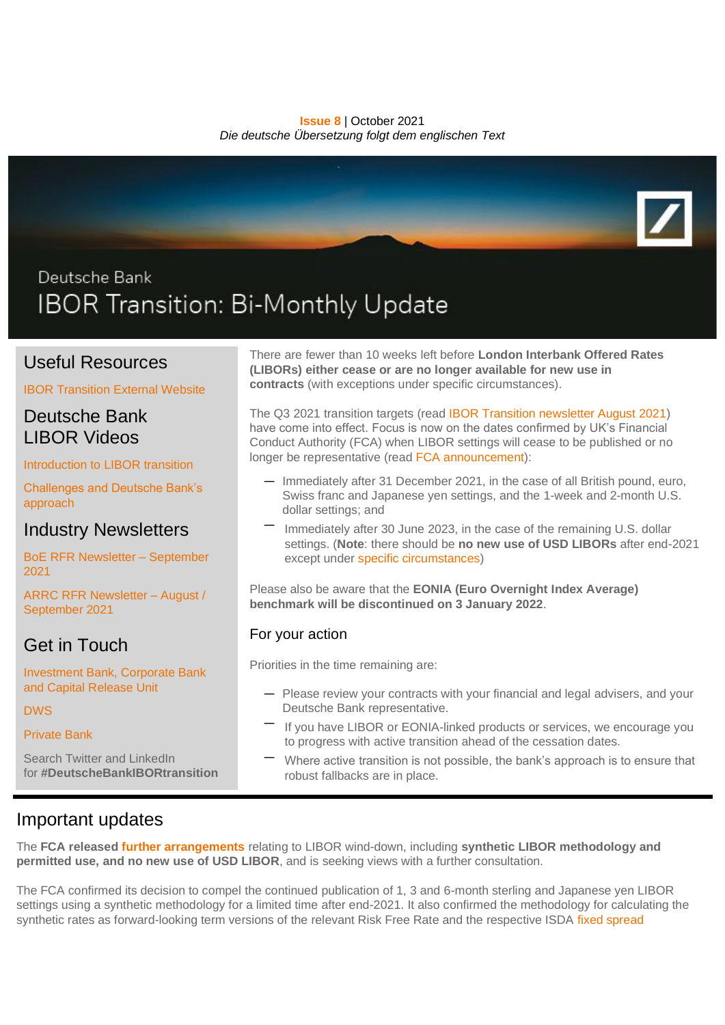**Issue 8** | October 2021 *Die deutsche Übersetzung folgt dem englischen Text*



# Deutsche Bank IBOR Transition: Bi-Monthly Update

## Useful Resources

[IBOR Transition External Website](https://www.db.com/legal-resources/ibor-transition/index?language_id=1&kid=ibortransition.redirect-en.shortcut)

### Deutsche Bank LIBOR Videos

[Introduction to LIBOR transition](https://www.youtube.com/watch?v=MTOxGmYn2RU)

[Challenges and Deutsche Bank's](https://www.youtube.com/watch?v=2mzCgqZpbeA)  [approach](https://www.youtube.com/watch?v=2mzCgqZpbeA)

### Industry Newsletters

[BoE RFR Newsletter –](https://www.bankofengland.co.uk/-/media/boe/files/markets/benchmarks/rfr/newsletter/september-2021.pdf) September [2021](https://www.bankofengland.co.uk/-/media/boe/files/markets/benchmarks/rfr/newsletter/september-2021.pdf)

[ARRC RFR Newsletter –](https://www.newyorkfed.org/medialibrary/Microsites/arrc/files/2021/20211004-arrc-newsletter-august-september-2021-final) August / [September 2021](https://www.newyorkfed.org/medialibrary/Microsites/arrc/files/2021/20211004-arrc-newsletter-august-september-2021-final)

Get in Touch

[Investment Bank, Corporate Bank](mailto:IBORtransition@db.com)  [and Capital Release Unit](mailto:IBORtransition@db.com)

[DWS](mailto:referencerate.dws@dws.com)

[Private Bank](mailto:IBOR.PrivateBank@db.com)

Search Twitter and LinkedIn for **#DeutscheBankIBORtransition**

There are fewer than 10 weeks left before **London Interbank Offered Rates (LIBORs) either cease or are no longer available for new use in contracts** (with exceptions under specific circumstances).

The Q3 2021 transition targets (read [IBOR Transition newsletter August 2021\)](https://www.db.com/legal-resources/ibor-transition/Documents/ibor-transition-newsletter-august-2021.pdf) have come into effect. Focus is now on the dates confirmed by UK's Financial Conduct Authority (FCA) when LIBOR settings will cease to be published or no longer be representative (read [FCA announcement\)](https://www.bankofengland.co.uk/news/2021/march/announcements-on-the-end-of-libor):

- Immediately after 31 December 2021, in the case of all British pound, euro, Swiss franc and Japanese yen settings, and the 1-week and 2-month U.S. dollar settings; and
- Immediately after 30 June 2023, in the case of the remaining U.S. dollar settings. (**Note**: there should be **no new use of USD LIBORs** after end-2021 except under [specific circumstances\)](https://www.federalreserve.gov/newsevents/pressreleases/files/bcreg20201130a1.pdf)

Please also be aware that the **EONIA (Euro Overnight Index Average) benchmark will be discontinued on 3 January 2022**.

#### For your action

Priorities in the time remaining are:

- Please review your contracts with your financial and legal advisers, and your Deutsche Bank representative.
- If you have LIBOR or EONIA-linked products or services, we encourage you to progress with active transition ahead of the cessation dates.
- Where active transition is not possible, the bank's approach is to ensure that robust fallbacks are in place.

# Important updates

The **FCA released [further arrangements](https://www.fca.org.uk/news/press-releases/further-arrangements-orderly-wind-down-libor-end-2021)** relating to LIBOR wind-down, including **synthetic LIBOR methodology and permitted use, and no new use of USD LIBOR**, and is seeking views with a further consultation.

The FCA confirmed its decision to compel the continued publication of 1, 3 and 6-month sterling and Japanese yen LIBOR settings using a synthetic methodology for a limited time after end-2021. It also confirmed the methodology for calculating the synthetic rates as forward-looking term versions of the relevant Risk Free Rate and the respective ISDA fixed spread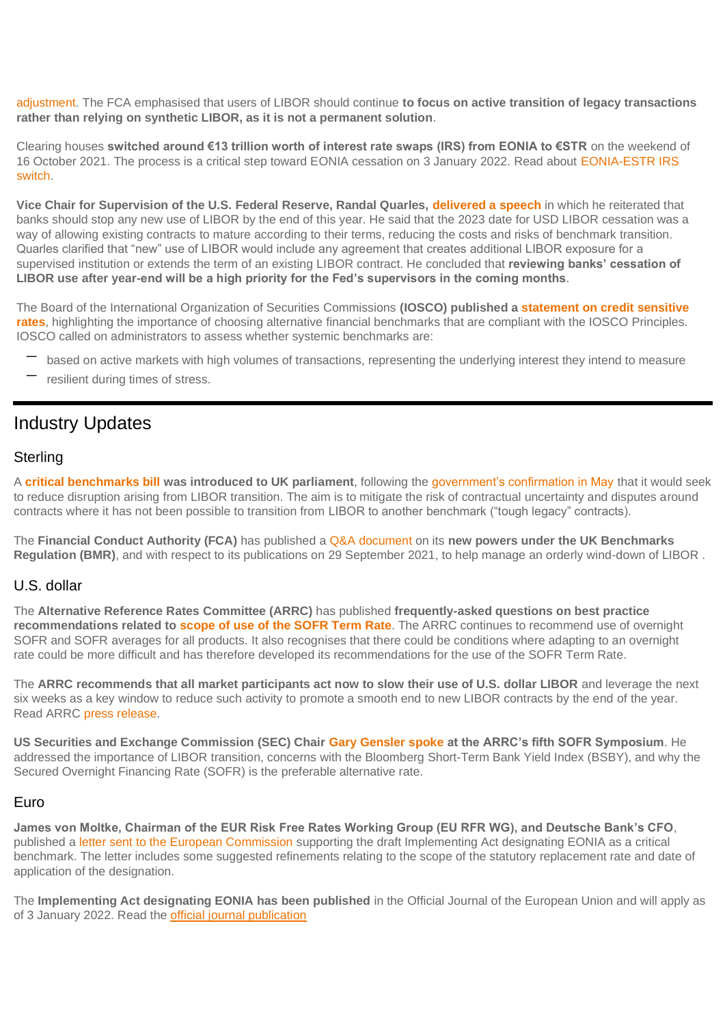[adjustment.](https://assets.bbhub.io/professional/sites/10/IBOR-Fallbacks-LIBOR-Cessation_Announcement_20210305.pdf) The FCA emphasised that users of LIBOR should continue **to focus on active transition of legacy transactions rather than relying on synthetic LIBOR, as it is not a permanent solution**.

Clearing houses **switched around €13 trillion worth of interest rate swaps (IRS) from EONIA to €STR** on the weekend of 16 October 2021. The process is a critical step toward EONIA cessation on 3 January 2022. Read about [EONIA-ESTR IRS](https://app.curationcorp.com/story/058db593-da66-47f8-bdbe-323d6aa80aee?customer_context=5C153603-7C79-4CE2-A741-2DEE8FC57B89)  [switch.](https://app.curationcorp.com/story/058db593-da66-47f8-bdbe-323d6aa80aee?customer_context=5C153603-7C79-4CE2-A741-2DEE8FC57B89)

**Vice Chair for Supervision of the U.S. Federal Reserve, Randal Quarles, [delivered a speech](https://www.federalreserve.gov/newsevents/speech/quarles20211005a.htm)** in which he reiterated that banks should stop any new use of LIBOR by the end of this year. He said that the 2023 date for USD LIBOR cessation was a way of allowing existing contracts to mature according to their terms, reducing the costs and risks of benchmark transition. Quarles clarified that "new" use of LIBOR would include any agreement that creates additional LIBOR exposure for a supervised institution or extends the term of an existing LIBOR contract. He concluded that **reviewing banks' cessation of LIBOR use after year-end will be a high priority for the Fed's supervisors in the coming months**.

The Board of the International Organization of Securities Commissions **(IOSCO) published a [statement on credit sensitive](https://www.iosco.org/library/pubdocs/pdf/IOSCOPD683.pdf)  [rates](https://www.iosco.org/library/pubdocs/pdf/IOSCOPD683.pdf)**, highlighting the importance of choosing alternative financial benchmarks that are compliant with the IOSCO Principles. IOSCO called on administrators to assess whether systemic benchmarks are:

- based on active markets with high volumes of transactions, representing the underlying interest they intend to measure
- resilient during times of stress.

# Industry Updates

#### **Sterling**

A **[critical benchmarks bill](https://bills.parliament.uk/bills/3045/publications) was introduced to UK parliament**, following the [government's confirmation in May](https://www.gov.uk/government/consultations/supporting-the-wind-down-of-critical-benchmarks) that it would seek to reduce disruption arising from LIBOR transition. The aim is to mitigate the risk of contractual uncertainty and disputes around contracts where it has not been possible to transition from LIBOR to another benchmark ("tough legacy" contracts).

The **Financial Conduct Authority (FCA)** has published a [Q&A document](https://www.fca.org.uk/markets/about-libor-transition/libor-and-fcas-new-powers-under-uk-benchmarks-regulation-questions-and-answers) on its **new powers under the UK Benchmarks Regulation (BMR)**, and with respect to its publications on 29 September 2021, to help manage an orderly wind-down of LIBOR .

#### U.S. dollar

The **Alternative Reference Rates Committee (ARRC)** has published **frequently-asked questions on best practice recommendations related to [scope of use of the SOFR Term Rate](https://www.newyorkfed.org/medialibrary/Microsites/arrc/files/2021/ARRC-Scope-of-Use-FAQ.pdf)**. The ARRC continues to recommend use of overnight SOFR and SOFR averages for all products. It also recognises that there could be conditions where adapting to an overnight rate could be more difficult and has therefore developed its recommendations for the use of the SOFR Term Rate.

The **ARRC recommends that all market participants act now to slow their use of U.S. dollar LIBOR** and leverage the next six weeks as a key window to reduce such activity to promote a smooth end to new LIBOR contracts by the end of the year. Read ARRC [press release.](https://www.newyorkfed.org/medialibrary/Microsites/arrc/files/2021/20211013-arrc-press-release-supporting-a-smooth-exit-post-arrc)

**US Securities and Exchange Commission (SEC) Chair [Gary Gensler spoke](https://www.sec.gov/news/speech/gensler-remarks-alternative-reference-rates-committee-sofr-symposium-092021) at the ARRC's fifth SOFR Symposium**. He addressed the importance of LIBOR transition, concerns with the Bloomberg Short-Term Bank Yield Index (BSBY), and why the Secured Overnight Financing Rate (SOFR) is the preferable alternative rate.

#### Euro

**James von Moltke, Chairman of the EUR Risk Free Rates Working Group (EU RFR WG), and Deutsche Bank's CFO**, published a [letter sent to the European Commission](https://www.esma.europa.eu/sites/default/files/library/esma81-459-6_chair_letter_to_ec_on_eonia_designation.pdf) supporting the draft Implementing Act designating EONIA as a critical benchmark. The letter includes some suggested refinements relating to the scope of the statutory replacement rate and date of application of the designation.

The **Implementing Act designating EONIA has been published** in the Official Journal of the European Union and will apply as of 3 January 2022. Read the [official journal publication](https://eur-lex.europa.eu/legal-content/EN/TXT/PDF/?uri=OJ:L:2021:374:FULL&from=EN)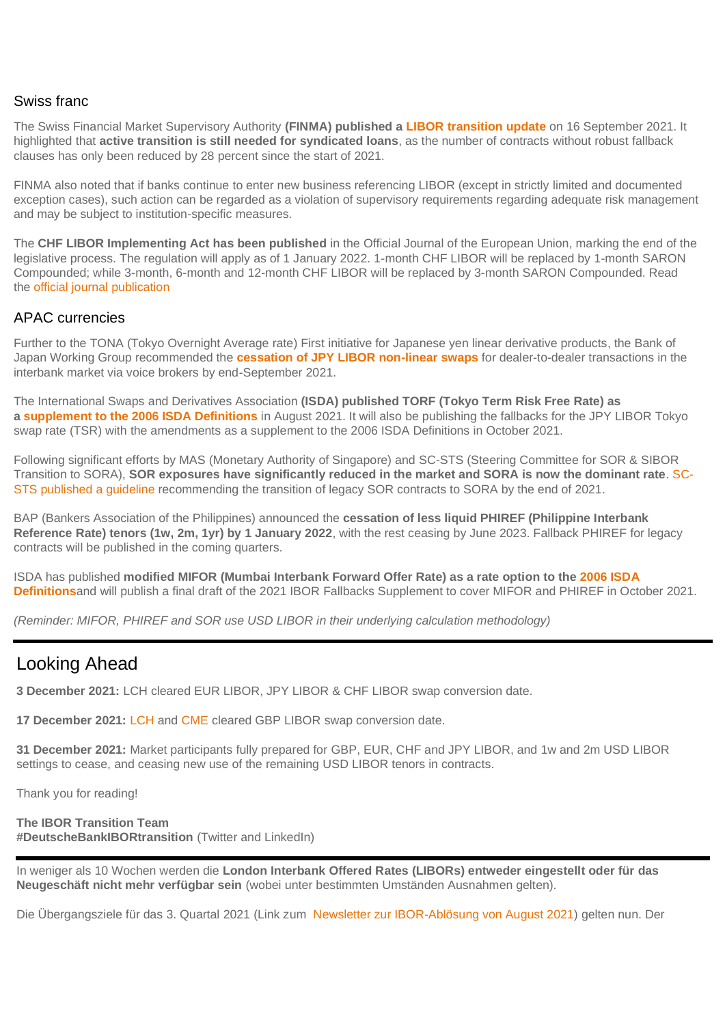#### Swiss franc

The Swiss Financial Market Supervisory Authority **(FINMA) published a [LIBOR transition update](file:///C:/Users/pritjam/Downloads/20210916%20finma%20aufsichtsmitteilung%2003%202021%20(1).pdf)** on 16 September 2021. It highlighted that **active transition is still needed for syndicated loans**, as the number of contracts without robust fallback clauses has only been reduced by 28 percent since the start of 2021.

FINMA also noted that if banks continue to enter new business referencing LIBOR (except in strictly limited and documented exception cases), such action can be regarded as a violation of supervisory requirements regarding adequate risk management and may be subject to institution-specific measures.

The **CHF LIBOR Implementing Act has been published** in the Official Journal of the European Union, marking the end of the legislative process. The regulation will apply as of 1 January 2022. 1-month CHF LIBOR will be replaced by 1-month SARON Compounded; while 3-month, 6-month and 12-month CHF LIBOR will be replaced by 3-month SARON Compounded. Read the [official journal publication](file://///users/summerverwers/Dropbox/Design/Deutsche%20Bank/Equity%20Marketing/ITC/IBOR%20Newsletter/2021/10%20-%20Oct/External/images/The%20CHF%20LIBOR%20Implementing%20Act%20has%20been%20published%20in%20the%20Official%20Journal%20of%20the%20European%20Union,%20marking%20the%20end%20of%20the%20legislative%20process.%20The%20regulation%20will%20apply%20as%20of%201%20January%202022.%201-month%20CHF%20LIBOR%20will%20be%20replaced%20by%201-month%20SARON%20Compounded;%20while%203-month,%206-month%20and%2012-month%20CHF%20LIBOR%20will%20be%20replaced%20by%203-month%20SARON%20Compounded.%20Read%20the%20official%20journal%20publication)

#### APAC currencies

Further to the TONA (Tokyo Overnight Average rate) First initiative for Japanese yen linear derivative products, the Bank of Japan Working Group recommended the **[cessation of JPY LIBOR non-linear swaps](https://www.boj.or.jp/en/paym/market/jpy_cmte/data/cmt210928c.pdf)** for dealer-to-dealer transactions in the interbank market via voice brokers by end-September 2021.

The International Swaps and Derivatives Association **(ISDA) published TORF (Tokyo Term Risk Free Rate) as a [supplement to the 2006 ISDA Definitions](https://www.isda.org/a/UcigE/Pipeline-of-Supplements-to-the-2006-ISDA-Definitions-for-WGs-August-2021.pdf)** in August 2021. It will also be publishing the fallbacks for the JPY LIBOR Tokyo swap rate (TSR) with the amendments as a supplement to the 2006 ISDA Definitions in October 2021.

Following significant efforts by MAS (Monetary Authority of Singapore) and SC-STS (Steering Committee for SOR & SIBOR Transition to SORA), **SOR exposures have significantly reduced in the market and SORA is now the dominant rate**. [SC-](https://www.abs.org.sg/docs/library/sc-sts-recommendations-for-transition-of-legacy-sor-contracts.pdf)[STS published a guideline](https://www.abs.org.sg/docs/library/sc-sts-recommendations-for-transition-of-legacy-sor-contracts.pdf) recommending the transition of legacy SOR contracts to SORA by the end of 2021.

BAP (Bankers Association of the Philippines) announced the **cessation of less liquid PHIREF (Philippine Interbank Reference Rate) tenors (1w, 2m, 1yr) by 1 January 2022**, with the rest ceasing by June 2023. Fallback PHIREF for legacy contracts will be published in the coming quarters.

ISDA has published **modified MIFOR (Mumbai Interbank Forward Offer Rate) as a rate option to the [2006 ISDA](https://www.isda.org/book/supplements-to-the-2006-isda-definitions/)  [Definitions](https://www.isda.org/book/supplements-to-the-2006-isda-definitions/)**and will publish a final draft of the 2021 IBOR Fallbacks Supplement to cover MIFOR and PHIREF in October 2021.

*(Reminder: MIFOR, PHIREF and SOR use USD LIBOR in their underlying calculation methodology)*

### Looking Ahead

**3 December 2021:** LCH cleared EUR LIBOR, JPY LIBOR & CHF LIBOR swap conversion date.

**17 December 2021:** [LCH](https://www.lch.com/membership/ltd-membership/ltd-member-updates/supplementary-statement-lchs-solution-outstanding) and [CME](https://www.cmegroup.com/trading/interest-rates/files/cme-ibor-conversion-for-chf-jpy-and-gbp-cleared-swaps.pdf) cleared GBP LIBOR swap conversion date.

**31 December 2021:** Market participants fully prepared for GBP, EUR, CHF and JPY LIBOR, and 1w and 2m USD LIBOR settings to cease, and ceasing new use of the remaining USD LIBOR tenors in contracts.

Thank you for reading!

**The IBOR Transition Team #DeutscheBankIBORtransition** (Twitter and LinkedIn)

In weniger als 10 Wochen werden die **London Interbank Offered Rates (LIBORs) entweder eingestellt oder für das Neugeschäft nicht mehr verfügbar sein** (wobei unter bestimmten Umständen Ausnahmen gelten).

Die Übergangsziele für das 3. Quartal 2021 (Link zum [Newsletter zur IBOR-Ablösung von August 2021\)](https://www.db.com/legal-resources/ibor-transition/Documents/ibor-transition-newsletter-august-2021.pdf) gelten nun. Der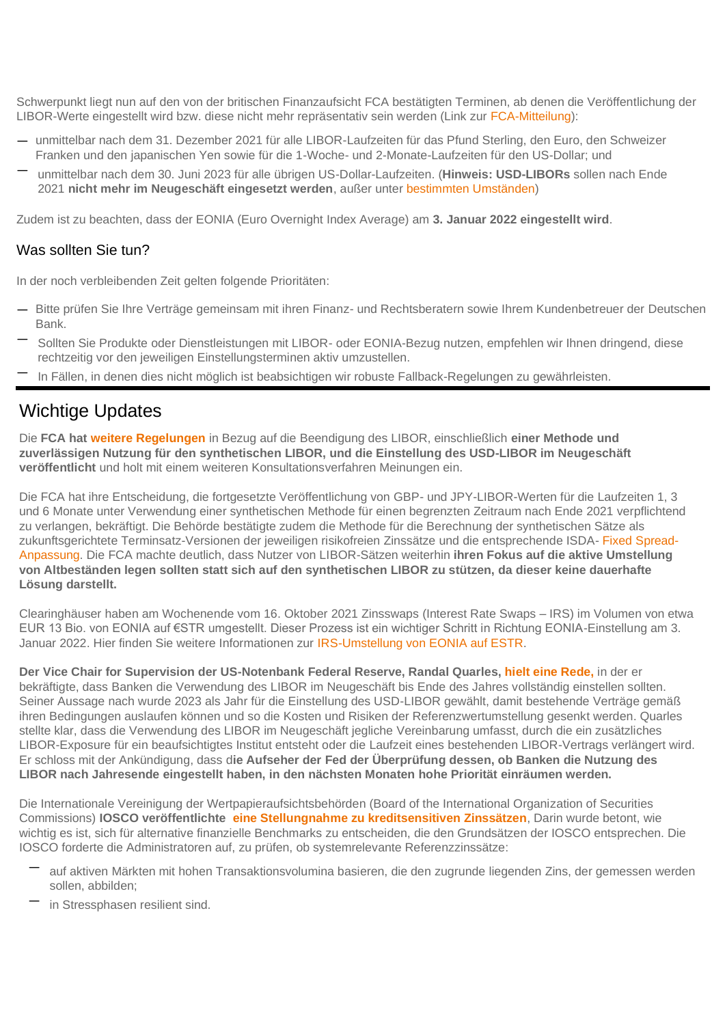Schwerpunkt liegt nun auf den von der britischen Finanzaufsicht FCA bestätigten Terminen, ab denen die Veröffentlichung der LIBOR-Werte eingestellt wird bzw. diese nicht mehr repräsentativ sein werden (Link zur [FCA-Mitteilung\)](https://www.bankofengland.co.uk/news/2021/march/announcements-on-the-end-of-libor):

- unmittelbar nach dem 31. Dezember 2021 für alle LIBOR-Laufzeiten für das Pfund Sterling, den Euro, den Schweizer Franken und den japanischen Yen sowie für die 1-Woche- und 2-Monate-Laufzeiten für den US-Dollar; und
- unmittelbar nach dem 30. Juni 2023 für alle übrigen US-Dollar-Laufzeiten. (**Hinweis: USD-LIBORs** sollen nach Ende 2021 **nicht mehr im Neugeschäft eingesetzt werden**, außer unter [bestimmten Umständen\)](https://www.federalreserve.gov/newsevents/pressreleases/files/bcreg20201130a1.pdf)

Zudem ist zu beachten, dass der EONIA (Euro Overnight Index Average) am **3. Januar 2022 eingestellt wird**.

#### Was sollten Sie tun?

In der noch verbleibenden Zeit gelten folgende Prioritäten:

- Bitte prüfen Sie Ihre Verträge gemeinsam mit ihren Finanz- und Rechtsberatern sowie Ihrem Kundenbetreuer der Deutschen Bank.
- Sollten Sie Produkte oder Dienstleistungen mit LIBOR- oder EONIA-Bezug nutzen, empfehlen wir Ihnen dringend, diese rechtzeitig vor den jeweiligen Einstellungsterminen aktiv umzustellen.
- In Fällen, in denen dies nicht möglich ist beabsichtigen wir robuste Fallback-Regelungen zu gewährleisten.

## Wichtige Updates

Die **FCA hat [weitere Regelungen](https://www.fca.org.uk/news/press-releases/further-arrangements-orderly-wind-down-libor-end-2021)** in Bezug auf die Beendigung des LIBOR, einschließlich **einer Methode und zuverlässigen Nutzung für den synthetischen LIBOR, und die Einstellung des USD-LIBOR im Neugeschäft veröffentlicht** und holt mit einem weiteren Konsultationsverfahren Meinungen ein.

Die FCA hat ihre Entscheidung, die fortgesetzte Veröffentlichung von GBP- und JPY-LIBOR-Werten für die Laufzeiten 1, 3 und 6 Monate unter Verwendung einer synthetischen Methode für einen begrenzten Zeitraum nach Ende 2021 verpflichtend zu verlangen, bekräftigt. Die Behörde bestätigte zudem die Methode für die Berechnung der synthetischen Sätze als zukunftsgerichtete Terminsatz-Versionen der jeweiligen risikofreien Zinssätze und die entsprechende ISDA- [Fixed Spread-](https://assets.bbhub.io/professional/sites/10/IBOR-Fallbacks-LIBOR-Cessation_Announcement_20210305.pdf)[Anpassung.](https://assets.bbhub.io/professional/sites/10/IBOR-Fallbacks-LIBOR-Cessation_Announcement_20210305.pdf) Die FCA machte deutlich, dass Nutzer von LIBOR-Sätzen weiterhin **ihren Fokus auf die aktive Umstellung von Altbeständen legen sollten statt sich auf den synthetischen LIBOR zu stützen, da dieser keine dauerhafte Lösung darstellt.**

Clearinghäuser haben am Wochenende vom 16. Oktober 2021 Zinsswaps (Interest Rate Swaps – IRS) im Volumen von etwa EUR 13 Bio. von EONIA auf €STR umgestellt. Dieser Prozess ist ein wichtiger Schritt in Richtung EONIA-Einstellung am 3. Januar 2022. Hier finden Sie weitere Informationen zur [IRS-Umstellung von EONIA auf ESTR.](https://app.curationcorp.com/story/058db593-da66-47f8-bdbe-323d6aa80aee?customer_context=5C153603-7C79-4CE2-A741-2DEE8FC57B89)

**Der Vice Chair for Supervision der US-Notenbank Federal Reserve, Randal Quarles, [hielt eine Rede,](https://www.federalreserve.gov/newsevents/speech/quarles20211005a.htm)** in der er bekräftigte, dass Banken die Verwendung des LIBOR im Neugeschäft bis Ende des Jahres vollständig einstellen sollten. Seiner Aussage nach wurde 2023 als Jahr für die Einstellung des USD-LIBOR gewählt, damit bestehende Verträge gemäß ihren Bedingungen auslaufen können und so die Kosten und Risiken der Referenzwertumstellung gesenkt werden. Quarles stellte klar, dass die Verwendung des LIBOR im Neugeschäft jegliche Vereinbarung umfasst, durch die ein zusätzliches LIBOR-Exposure für ein beaufsichtigtes Institut entsteht oder die Laufzeit eines bestehenden LIBOR-Vertrags verlängert wird. Er schloss mit der Ankündigung, dass d**ie Aufseher der Fed der Überprüfung dessen, ob Banken die Nutzung des LIBOR nach Jahresende eingestellt haben, in den nächsten Monaten hohe Priorität einräumen werden.**

Die Internationale Vereinigung der Wertpapieraufsichtsbehörden (Board of the International Organization of Securities Commissions) **IOSCO veröffentlichte [eine Stellungnahme zu kreditsensitiven Zinssätzen](https://www.iosco.org/library/pubdocs/pdf/IOSCOPD683.pdf)**, Darin wurde betont, wie wichtig es ist, sich für alternative finanzielle Benchmarks zu entscheiden, die den Grundsätzen der IOSCO entsprechen. Die IOSCO forderte die Administratoren auf, zu prüfen, ob systemrelevante Referenzzinssätze:

- auf aktiven Märkten mit hohen Transaktionsvolumina basieren, die den zugrunde liegenden Zins, der gemessen werden sollen, abbilden;
- in Stressphasen resilient sind.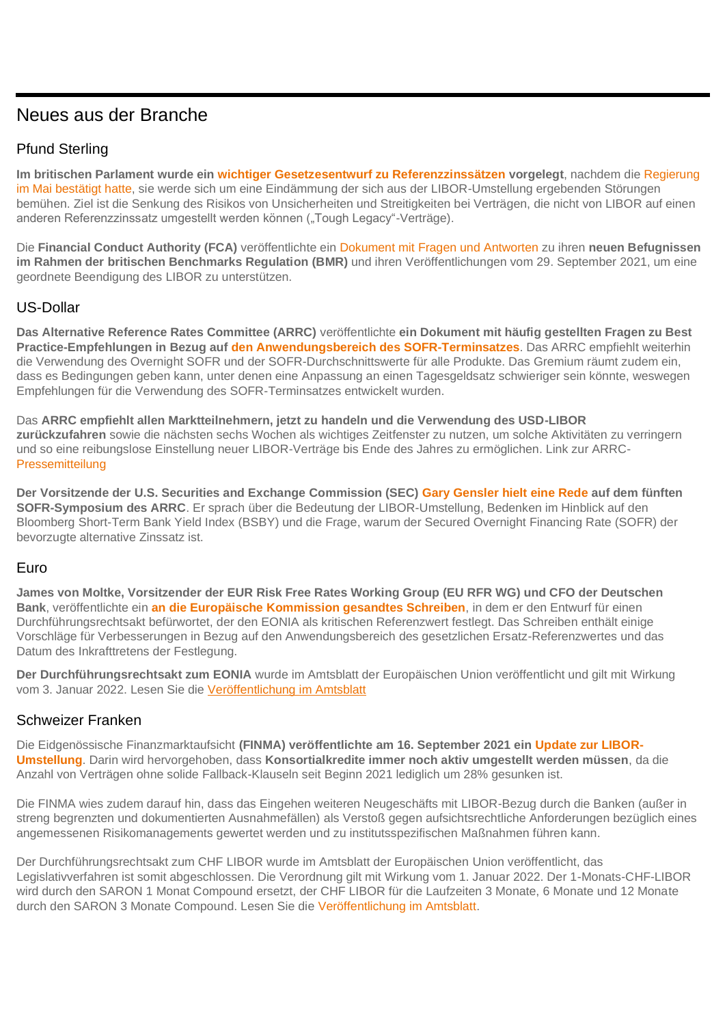## Neues aus der Branche

### Pfund Sterling

**Im britischen Parlament wurde ein [wichtiger Gesetzesentwurf zu Referenzzinssätzen](https://bills.parliament.uk/bills/3045/publications) vorgelegt**, nachdem die [Regierung](https://www.gov.uk/government/consultations/supporting-the-wind-down-of-critical-benchmarks)  [im Mai bestätigt hatte,](https://www.gov.uk/government/consultations/supporting-the-wind-down-of-critical-benchmarks) sie werde sich um eine Eindämmung der sich aus der LIBOR-Umstellung ergebenden Störungen bemühen. Ziel ist die Senkung des Risikos von Unsicherheiten und Streitigkeiten bei Verträgen, die nicht von LIBOR auf einen anderen Referenzzinssatz umgestellt werden können ("Tough Legacy"-Verträge).

Die **Financial Conduct Authority (FCA)** veröffentlichte ein [Dokument mit Fragen und Antworten](https://www.fca.org.uk/markets/about-libor-transition/libor-and-fcas-new-powers-under-uk-benchmarks-regulation-questions-and-answers) zu ihren **neuen Befugnissen im Rahmen der britischen Benchmarks Regulation (BMR)** und ihren Veröffentlichungen vom 29. September 2021, um eine geordnete Beendigung des LIBOR zu unterstützen.

### US-Dollar

**Das Alternative Reference Rates Committee (ARRC)** veröffentlichte **ein Dokument mit häufig gestellten Fragen zu Best Practice-Empfehlungen in Bezug auf [den Anwendungsbereich des SOFR-Terminsatzes](https://www.newyorkfed.org/medialibrary/Microsites/arrc/files/2021/ARRC-Scope-of-Use-FAQ.pdf)**. Das ARRC empfiehlt weiterhin die Verwendung des Overnight SOFR und der SOFR-Durchschnittswerte für alle Produkte. Das Gremium räumt zudem ein, dass es Bedingungen geben kann, unter denen eine Anpassung an einen Tagesgeldsatz schwieriger sein könnte, weswegen Empfehlungen für die Verwendung des SOFR-Terminsatzes entwickelt wurden.

Das **ARRC empfiehlt allen Marktteilnehmern, jetzt zu handeln und die Verwendung des USD-LIBOR zurückzufahren** sowie die nächsten sechs Wochen als wichtiges Zeitfenster zu nutzen, um solche Aktivitäten zu verringern und so eine reibungslose Einstellung neuer LIBOR-Verträge bis Ende des Jahres zu ermöglichen. Link zur ARRC-[Pressemitteilung](https://www.newyorkfed.org/medialibrary/Microsites/arrc/files/2021/20211013-arrc-press-release-supporting-a-smooth-exit-post-arrc)

**Der Vorsitzende der U.S. Securities and Exchange Commission (SEC) [Gary Gensler hielt eine Rede](https://www.sec.gov/news/speech/gensler-remarks-alternative-reference-rates-committee-sofr-symposium-092021) auf dem fünften SOFR-Symposium des ARRC**. Er sprach über die Bedeutung der LIBOR-Umstellung, Bedenken im Hinblick auf den Bloomberg Short-Term Bank Yield Index (BSBY) und die Frage, warum der Secured Overnight Financing Rate (SOFR) der bevorzugte alternative Zinssatz ist.

#### Euro

**James von Moltke, Vorsitzender der EUR Risk Free Rates Working Group (EU RFR WG) und CFO der Deutschen Bank**, veröffentlichte ein **[an die Europäische Kommission gesandtes Schreiben](https://www.esma.europa.eu/sites/default/files/library/esma81-459-6_chair_letter_to_ec_on_eonia_designation.pdf)**, in dem er den Entwurf für einen Durchführungsrechtsakt befürwortet, der den EONIA als kritischen Referenzwert festlegt. Das Schreiben enthält einige Vorschläge für Verbesserungen in Bezug auf den Anwendungsbereich des gesetzlichen Ersatz-Referenzwertes und das Datum des Inkrafttretens der Festlegung.

**Der Durchführungsrechtsakt zum EONIA** wurde im Amtsblatt der Europäischen Union veröffentlicht und gilt mit Wirkung vom 3. Januar 2022. Lesen Sie die [Veröffentlichung](https://eur-lex.europa.eu/legal-content/EN/TXT/PDF/?uri=OJ:L:2021:374:FULL&from=EN) im Amtsblatt

#### Schweizer Franken

Die Eidgenössische Finanzmarktaufsicht **(FINMA) veröffentlichte am 16. September 2021 ein [Update zur LIBOR-](file:///C:/Users/pritjam/Downloads/20210916%20finma%20aufsichtsmitteilung%2003%202021%20(1).pdf)[Umstellung](file:///C:/Users/pritjam/Downloads/20210916%20finma%20aufsichtsmitteilung%2003%202021%20(1).pdf)**. Darin wird hervorgehoben, dass **Konsortialkredite immer noch aktiv umgestellt werden müssen**, da die Anzahl von Verträgen ohne solide Fallback-Klauseln seit Beginn 2021 lediglich um 28% gesunken ist.

Die FINMA wies zudem darauf hin, dass das Eingehen weiteren Neugeschäfts mit LIBOR-Bezug durch die Banken (außer in streng begrenzten und dokumentierten Ausnahmefällen) als Verstoß gegen aufsichtsrechtliche Anforderungen bezüglich eines angemessenen Risikomanagements gewertet werden und zu institutsspezifischen Maßnahmen führen kann.

Der Durchführungsrechtsakt zum CHF LIBOR wurde im Amtsblatt der Europäischen Union veröffentlicht, das Legislativverfahren ist somit abgeschlossen. Die Verordnung gilt mit Wirkung vom 1. Januar 2022. Der 1-Monats-CHF-LIBOR wird durch den SARON 1 Monat Compound ersetzt, der CHF LIBOR für die Laufzeiten 3 Monate, 6 Monate und 12 Monate durch den SARON 3 Monate Compound. Lesen Sie die [Veröffentlichung im Amtsblatt.](https://eur-lex.europa.eu/legal-content/EN/TXT/PDF/?uri=OJ:L:2021:374:FULL&from=EN)